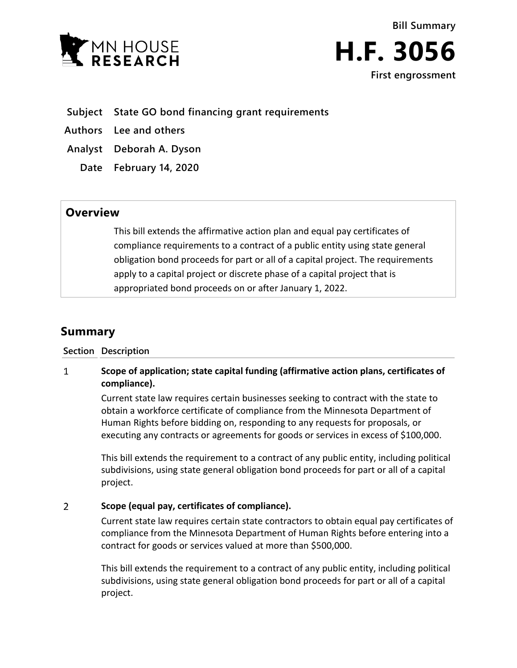



## **Subject State GO bond financing grant requirements**

**Authors Lee and others**

**Analyst Deborah A. Dyson**

**Date February 14, 2020**

## **Overview**

This bill extends the affirmative action plan and equal pay certificates of compliance requirements to a contract of a public entity using state general obligation bond proceeds for part or all of a capital project. The requirements apply to a capital project or discrete phase of a capital project that is appropriated bond proceeds on or after January 1, 2022.

# **Summary**

### **Section Description**

#### $\mathbf{1}$ **Scope of application; state capital funding (affirmative action plans, certificates of compliance).**

Current state law requires certain businesses seeking to contract with the state to obtain a workforce certificate of compliance from the Minnesota Department of Human Rights before bidding on, responding to any requests for proposals, or executing any contracts or agreements for goods or services in excess of \$100,000.

This bill extends the requirement to a contract of any public entity, including political subdivisions, using state general obligation bond proceeds for part or all of a capital project.

#### $\overline{2}$ **Scope (equal pay, certificates of compliance).**

Current state law requires certain state contractors to obtain equal pay certificates of compliance from the Minnesota Department of Human Rights before entering into a contract for goods or services valued at more than \$500,000.

This bill extends the requirement to a contract of any public entity, including political subdivisions, using state general obligation bond proceeds for part or all of a capital project.